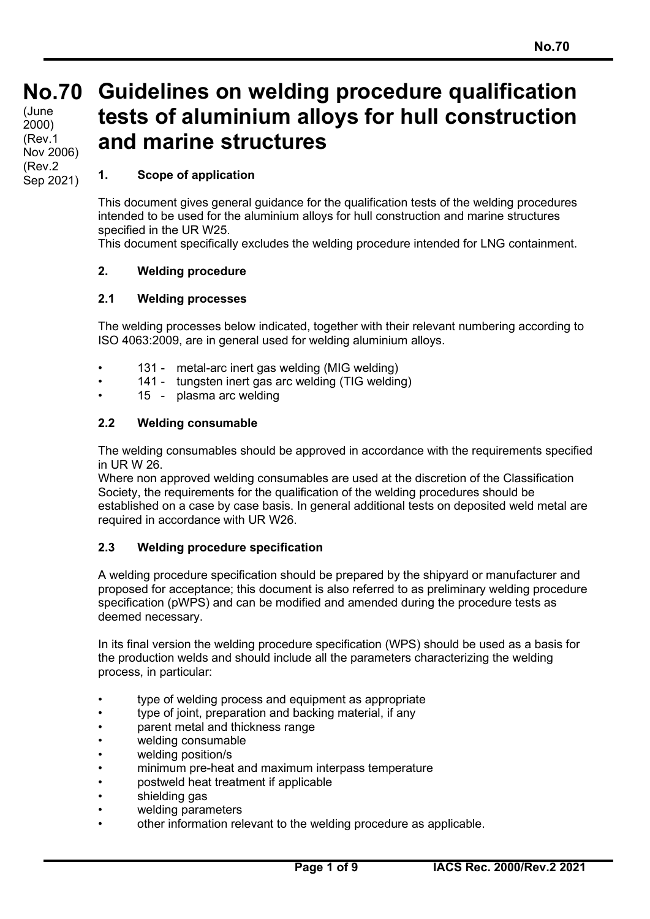# **No.70 No.70**  $(June)$ 2000) (Rev.1 Nov 2006) (Rev.2 Sep 2021)

# **Guidelines on welding procedure qualification tests of aluminium alloys for hull construction and marine structures**

# **1. Scope of application**

This document gives general guidance for the qualification tests of the welding procedures intended to be used for the aluminium alloys for hull construction and marine structures specified in the UR W25.

This document specifically excludes the welding procedure intended for LNG containment.

# **2. Welding procedure**

# **2.1 Welding processes**

The welding processes below indicated, together with their relevant numbering according to ISO 4063:2009, are in general used for welding aluminium alloys.

- 131 metal-arc inert gas welding (MIG welding)
- 141 tungsten inert gas arc welding (TIG welding)
- 15 plasma arc welding

### **2.2 Welding consumable**

The welding consumables should be approved in accordance with the requirements specified in UR W 26.

Where non approved welding consumables are used at the discretion of the Classification Society, the requirements for the qualification of the welding procedures should be established on a case by case basis. In general additional tests on deposited weld metal are required in accordance with UR W26.

# **2.3 Welding procedure specification**

A welding procedure specification should be prepared by the shipyard or manufacturer and proposed for acceptance; this document is also referred to as preliminary welding procedure specification (pWPS) and can be modified and amended during the procedure tests as deemed necessary.

In its final version the welding procedure specification (WPS) should be used as a basis for the production welds and should include all the parameters characterizing the welding process, in particular:

- type of welding process and equipment as appropriate
- type of joint, preparation and backing material, if any
- parent metal and thickness range
- welding consumable
- welding position/s
- minimum pre-heat and maximum interpass temperature
- postweld heat treatment if applicable
- shielding gas
- welding parameters
- other information relevant to the welding procedure as applicable.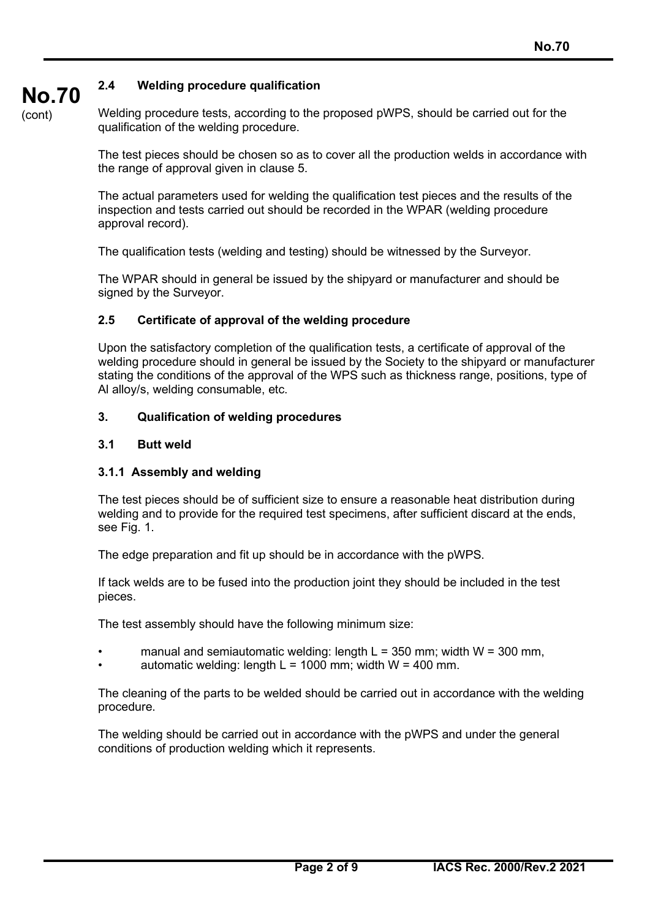# **2.4 Welding procedure qualification**

**No.70** (cont)

Welding procedure tests, according to the proposed pWPS, should be carried out for the qualification of the welding procedure.

The test pieces should be chosen so as to cover all the production welds in accordance with the range of approval given in clause 5.

The actual parameters used for welding the qualification test pieces and the results of the inspection and tests carried out should be recorded in the WPAR (welding procedure approval record).

The qualification tests (welding and testing) should be witnessed by the Surveyor.

The WPAR should in general be issued by the shipyard or manufacturer and should be signed by the Surveyor.

#### **2.5 Certificate of approval of the welding procedure**

Upon the satisfactory completion of the qualification tests, a certificate of approval of the welding procedure should in general be issued by the Society to the shipyard or manufacturer stating the conditions of the approval of the WPS such as thickness range, positions, type of Al alloy/s, welding consumable, etc.

#### **3. Qualification of welding procedures**

#### **3.1 Butt weld**

#### **3.1.1 Assembly and welding**

The test pieces should be of sufficient size to ensure a reasonable heat distribution during welding and to provide for the required test specimens, after sufficient discard at the ends, see Fig. 1.

The edge preparation and fit up should be in accordance with the pWPS.

If tack welds are to be fused into the production joint they should be included in the test pieces.

The test assembly should have the following minimum size:

- manual and semiautomatic welding: length  $L = 350$  mm; width  $W = 300$  mm,
- automatic welding: length  $L = 1000$  mm; width  $W = 400$  mm.

The cleaning of the parts to be welded should be carried out in accordance with the welding procedure.

The welding should be carried out in accordance with the pWPS and under the general conditions of production welding which it represents.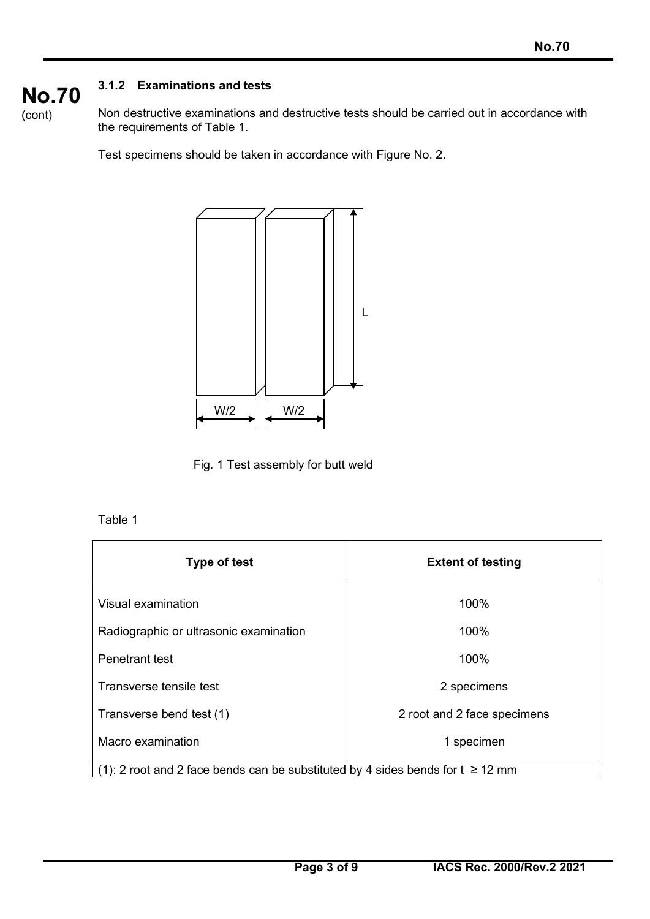# **3.1.2 Examinations and tests**



Non destructive examinations and destructive tests should be carried out in accordance with the requirements of Table 1.

Test specimens should be taken in accordance with Figure No. 2.



Fig. 1 Test assembly for butt weld

# Table 1

| <b>Type of test</b>                                                            | <b>Extent of testing</b>    |
|--------------------------------------------------------------------------------|-----------------------------|
| Visual examination                                                             | 100%                        |
| Radiographic or ultrasonic examination                                         | 100%                        |
| Penetrant test                                                                 | 100%                        |
| Transverse tensile test                                                        | 2 specimens                 |
| Transverse bend test (1)                                                       | 2 root and 2 face specimens |
| Macro examination                                                              | 1 specimen                  |
| (1): 2 root and 2 face bends can be substituted by 4 sides bends for t ≥ 12 mm |                             |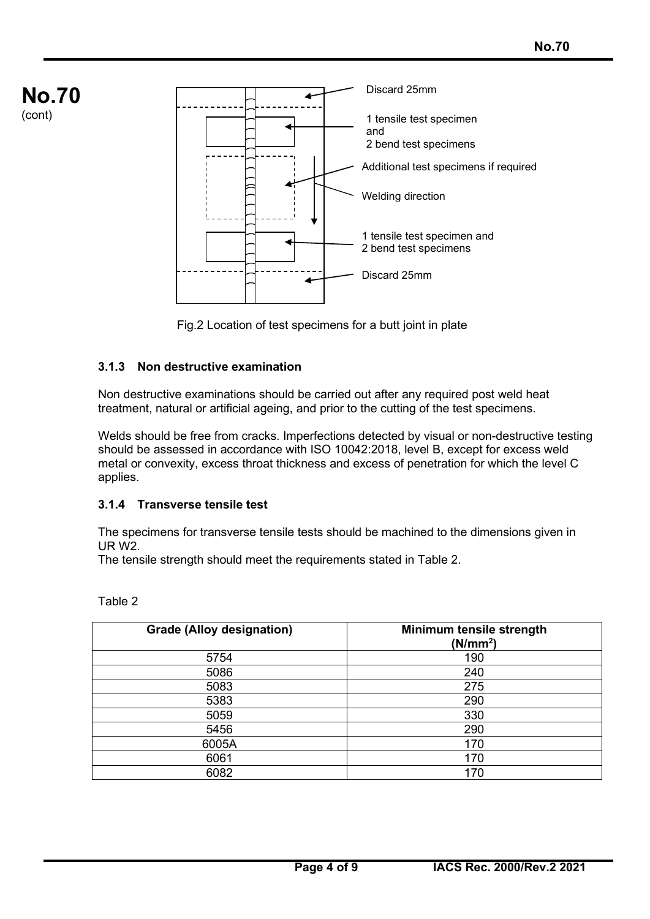

Fig.2 Location of test specimens for a butt joint in plate

# **3.1.3 Non destructive examination**

Non destructive examinations should be carried out after any required post weld heat treatment, natural or artificial ageing, and prior to the cutting of the test specimens.

Welds should be free from cracks. Imperfections detected by visual or non-destructive testing should be assessed in accordance with ISO 10042:2018, level B, except for excess weld metal or convexity, excess throat thickness and excess of penetration for which the level C applies.

# **3.1.4 Transverse tensile test**

The specimens for transverse tensile tests should be machined to the dimensions given in UR W2.

The tensile strength should meet the requirements stated in Table 2.

| <b>Grade (Alloy designation)</b> | Minimum tensile strength<br>(N/mm <sup>2</sup> ) |
|----------------------------------|--------------------------------------------------|
| 5754                             | 190                                              |
| 5086                             | 240                                              |
| 5083                             | 275                                              |
| 5383                             | 290                                              |
| 5059                             | 330                                              |
| 5456                             | 290                                              |
| 6005A                            | 170                                              |
| 6061                             | 170                                              |
| 6082                             | 170                                              |

Table 2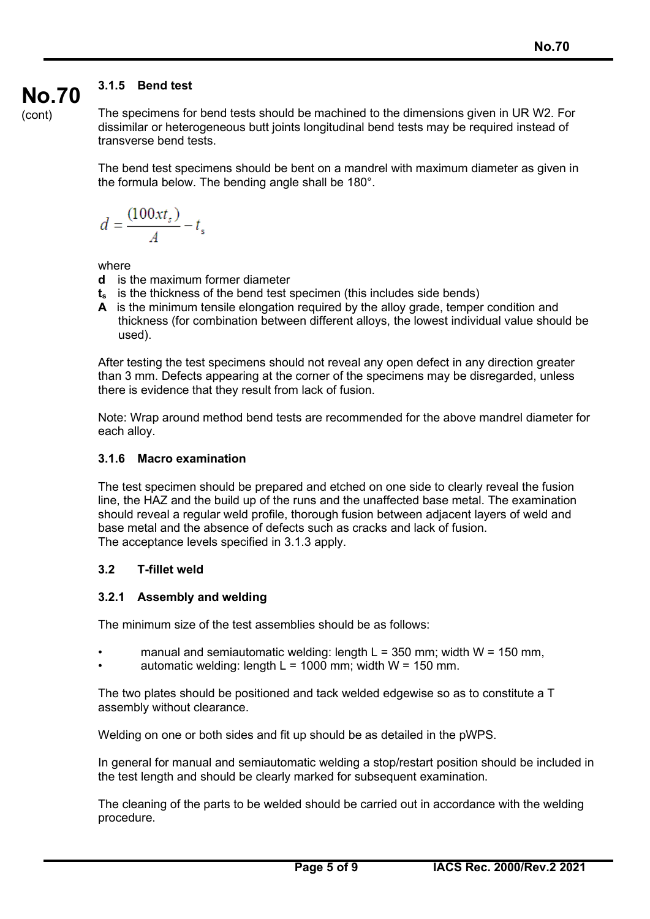# **3.1.5 Bend test**

(cont)

**No.70**

The specimens for bend tests should be machined to the dimensions given in UR W2. For dissimilar or heterogeneous butt joints longitudinal bend tests may be required instead of transverse bend tests.

The bend test specimens should be bent on a mandrel with maximum diameter as given in the formula below. The bending angle shall be 180°.

$$
d = \frac{(100xt_s)}{A} - t_s
$$

where

- **d** is the maximum former diameter
- **ts** is the thickness of the bend test specimen (this includes side bends)
- **A** is the minimum tensile elongation required by the alloy grade, temper condition and thickness (for combination between different alloys, the lowest individual value should be used).

After testing the test specimens should not reveal any open defect in any direction greater than 3 mm. Defects appearing at the corner of the specimens may be disregarded, unless there is evidence that they result from lack of fusion.

Note: Wrap around method bend tests are recommended for the above mandrel diameter for each alloy.

# **3.1.6 Macro examination**

The test specimen should be prepared and etched on one side to clearly reveal the fusion line, the HAZ and the build up of the runs and the unaffected base metal. The examination should reveal a regular weld profile, thorough fusion between adjacent layers of weld and base metal and the absence of defects such as cracks and lack of fusion. The acceptance levels specified in 3.1.3 apply.

# **3.2 T-fillet weld**

# **3.2.1 Assembly and welding**

The minimum size of the test assemblies should be as follows:

- manual and semiautomatic welding: length  $L = 350$  mm; width  $W = 150$  mm,
- automatic welding: length  $L = 1000$  mm; width  $W = 150$  mm.

The two plates should be positioned and tack welded edgewise so as to constitute a T assembly without clearance.

Welding on one or both sides and fit up should be as detailed in the pWPS.

In general for manual and semiautomatic welding a stop/restart position should be included in the test length and should be clearly marked for subsequent examination.

The cleaning of the parts to be welded should be carried out in accordance with the welding procedure.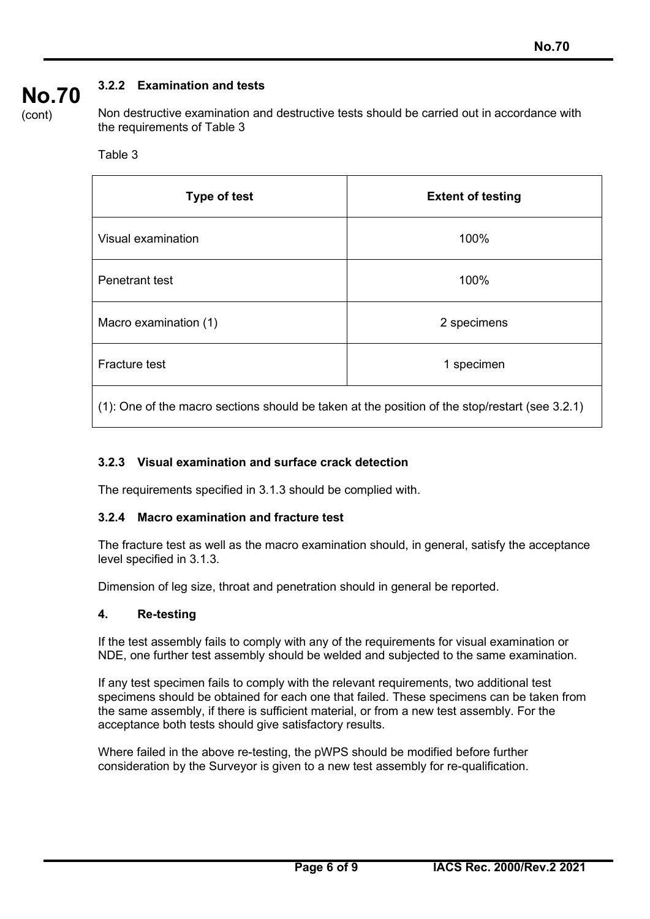#### **No.70 3.2.2 Examination and tests**

(cont)

Non destructive examination and destructive tests should be carried out in accordance with the requirements of Table 3

### Table 3

| <b>Extent of testing</b> |
|--------------------------|
| 100%                     |
| 100%                     |
| 2 specimens              |
| 1 specimen               |
|                          |

(1): One of the macro sections should be taken at the position of the stop/restart (see 3.2.1)

# **3.2.3 Visual examination and surface crack detection**

The requirements specified in 3.1.3 should be complied with.

# **3.2.4 Macro examination and fracture test**

The fracture test as well as the macro examination should, in general, satisfy the acceptance level specified in 3.1.3.

Dimension of leg size, throat and penetration should in general be reported.

# **4. Re-testing**

If the test assembly fails to comply with any of the requirements for visual examination or NDE, one further test assembly should be welded and subjected to the same examination.

If any test specimen fails to comply with the relevant requirements, two additional test specimens should be obtained for each one that failed. These specimens can be taken from the same assembly, if there is sufficient material, or from a new test assembly. For the acceptance both tests should give satisfactory results.

Where failed in the above re-testing, the pWPS should be modified before further consideration by the Surveyor is given to a new test assembly for re-qualification.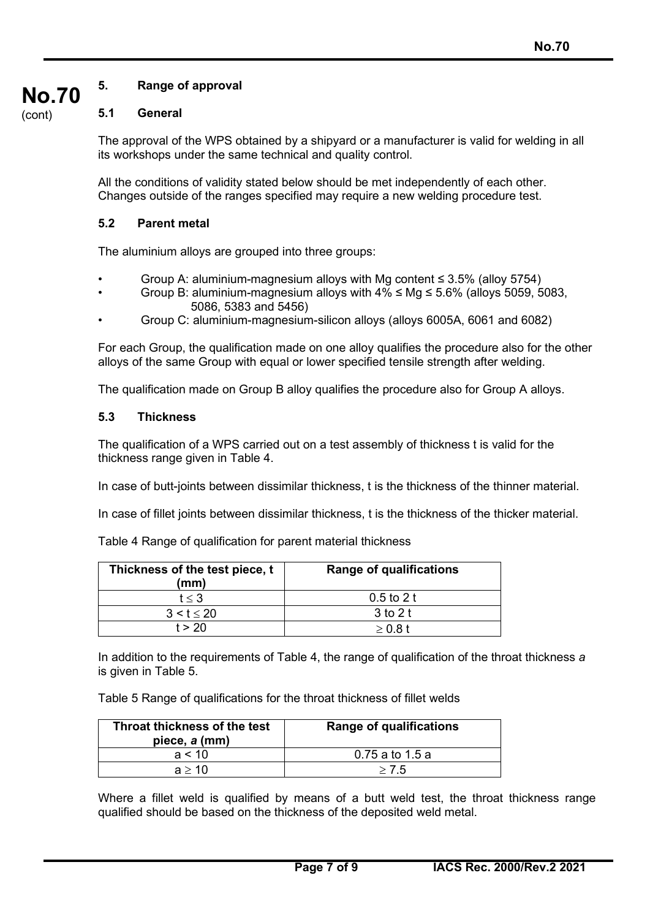#### **No.70 5. Range of approval**

# **5.1 General**

(cont)

The approval of the WPS obtained by a shipyard or a manufacturer is valid for welding in all its workshops under the same technical and quality control.

All the conditions of validity stated below should be met independently of each other. Changes outside of the ranges specified may require a new welding procedure test.

### **5.2 Parent metal**

The aluminium alloys are grouped into three groups:

- Group A: aluminium-magnesium alloys with Mg content  $\leq$  3.5% (alloy 5754)
- Group B: aluminium-magnesium alloys with  $4\% \leq Mq \leq 5.6\%$  (alloys 5059, 5083, 5086, 5383 and 5456)
- Group C: aluminium-magnesium-silicon alloys (alloys 6005A, 6061 and 6082)

For each Group, the qualification made on one alloy qualifies the procedure also for the other alloys of the same Group with equal or lower specified tensile strength after welding.

The qualification made on Group B alloy qualifies the procedure also for Group A alloys.

### **5.3 Thickness**

The qualification of a WPS carried out on a test assembly of thickness t is valid for the thickness range given in Table 4.

In case of butt-joints between dissimilar thickness, t is the thickness of the thinner material.

In case of fillet joints between dissimilar thickness, t is the thickness of the thicker material.

Table 4 Range of qualification for parent material thickness

| Thickness of the test piece, t<br>(mm) | <b>Range of qualifications</b> |
|----------------------------------------|--------------------------------|
| t < 3                                  | $0.5$ to 2 t                   |
| 3 < t < 20                             | 3 to 2 t                       |
| t > 20                                 | >0.8t                          |

In addition to the requirements of Table 4, the range of qualification of the throat thickness *a* is given in Table 5.

Table 5 Range of qualifications for the throat thickness of fillet welds

| Throat thickness of the test<br>piece, a (mm) | <b>Range of qualifications</b> |
|-----------------------------------------------|--------------------------------|
| a < 10                                        | 0.75 a to 1.5 a                |
| a > 10                                        | > 7.5                          |

Where a fillet weld is qualified by means of a butt weld test, the throat thickness range qualified should be based on the thickness of the deposited weld metal.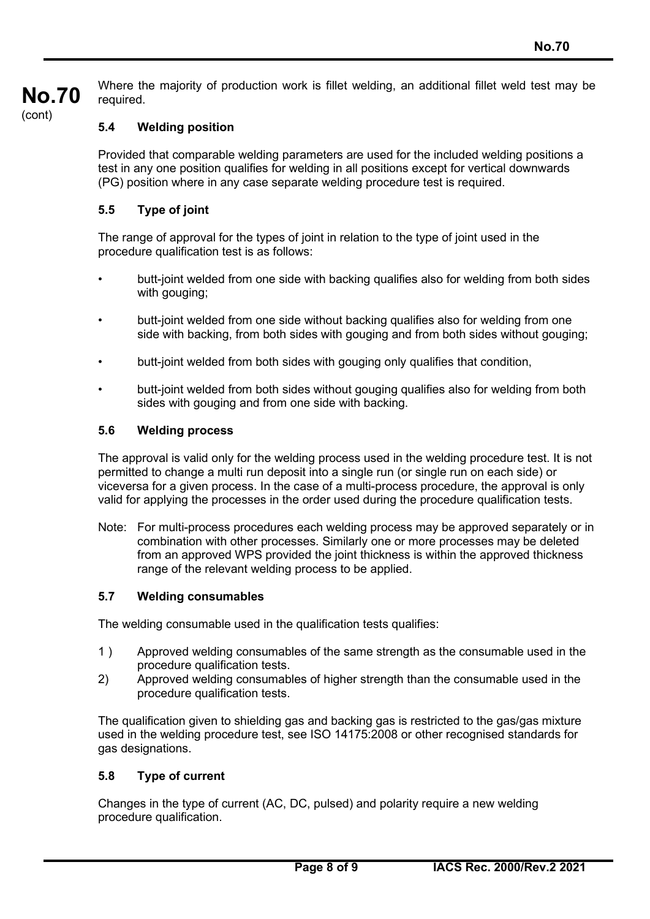

Where the majority of production work is fillet welding, an additional fillet weld test may be required.

# **5.4 Welding position**

Provided that comparable welding parameters are used for the included welding positions a test in any one position qualifies for welding in all positions except for vertical downwards (PG) position where in any case separate welding procedure test is required.

# **5.5 Type of joint**

The range of approval for the types of joint in relation to the type of joint used in the procedure qualification test is as follows:

- butt-joint welded from one side with backing qualifies also for welding from both sides with gouging;
- butt-joint welded from one side without backing qualifies also for welding from one side with backing, from both sides with gouging and from both sides without gouging;
- butt-joint welded from both sides with gouging only qualifies that condition,
- butt-joint welded from both sides without gouging qualifies also for welding from both sides with gouging and from one side with backing.

### **5.6 Welding process**

The approval is valid only for the welding process used in the welding procedure test. It is not permitted to change a multi run deposit into a single run (or single run on each side) or viceversa for a given process. In the case of a multi-process procedure, the approval is only valid for applying the processes in the order used during the procedure qualification tests.

Note: For multi-process procedures each welding process may be approved separately or in combination with other processes. Similarly one or more processes may be deleted from an approved WPS provided the joint thickness is within the approved thickness range of the relevant welding process to be applied.

#### **5.7 Welding consumables**

The welding consumable used in the qualification tests qualifies:

- 1 ) Approved welding consumables of the same strength as the consumable used in the procedure qualification tests.
- 2) Approved welding consumables of higher strength than the consumable used in the procedure qualification tests.

The qualification given to shielding gas and backing gas is restricted to the gas/gas mixture used in the welding procedure test, see ISO 14175:2008 or other recognised standards for gas designations.

# **5.8 Type of current**

Changes in the type of current (AC, DC, pulsed) and polarity require a new welding procedure qualification.